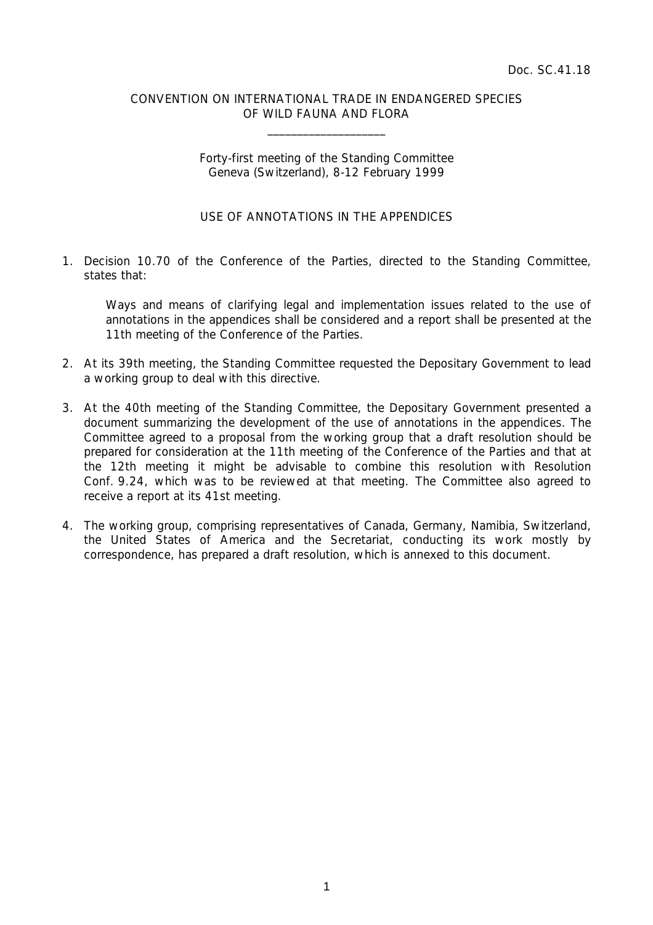### CONVENTION ON INTERNATIONAL TRADE IN ENDANGERED SPECIES OF WILD FAUNA AND FLORA

 $\overline{\phantom{a}}$  , which is a set of the set of the set of the set of the set of the set of the set of the set of the set of the set of the set of the set of the set of the set of the set of the set of the set of the set of th

### Forty-first meeting of the Standing Committee Geneva (Switzerland), 8-12 February 1999

# USE OF ANNOTATIONS IN THE APPENDICES

1. Decision 10.70 of the Conference of the Parties, directed to the Standing Committee, states that:

 Ways and means of clarifying legal and implementation issues related to the use of annotations in the appendices shall be considered and a report shall be presented at the 11th meeting of the Conference of the Parties.

- 2. At its 39th meeting, the Standing Committee requested the Depositary Government to lead a working group to deal with this directive.
- 3. At the 40th meeting of the Standing Committee, the Depositary Government presented a document summarizing the development of the use of annotations in the appendices. The Committee agreed to a proposal from the working group that a draft resolution should be prepared for consideration at the 11th meeting of the Conference of the Parties and that at the 12th meeting it might be advisable to combine this resolution with Resolution Conf. 9.24, which was to be reviewed at that meeting. The Committee also agreed to receive a report at its 41st meeting.
- 4. The working group, comprising representatives of Canada, Germany, Namibia, Switzerland, the United States of America and the Secretariat, conducting its work mostly by correspondence, has prepared a draft resolution, which is annexed to this document.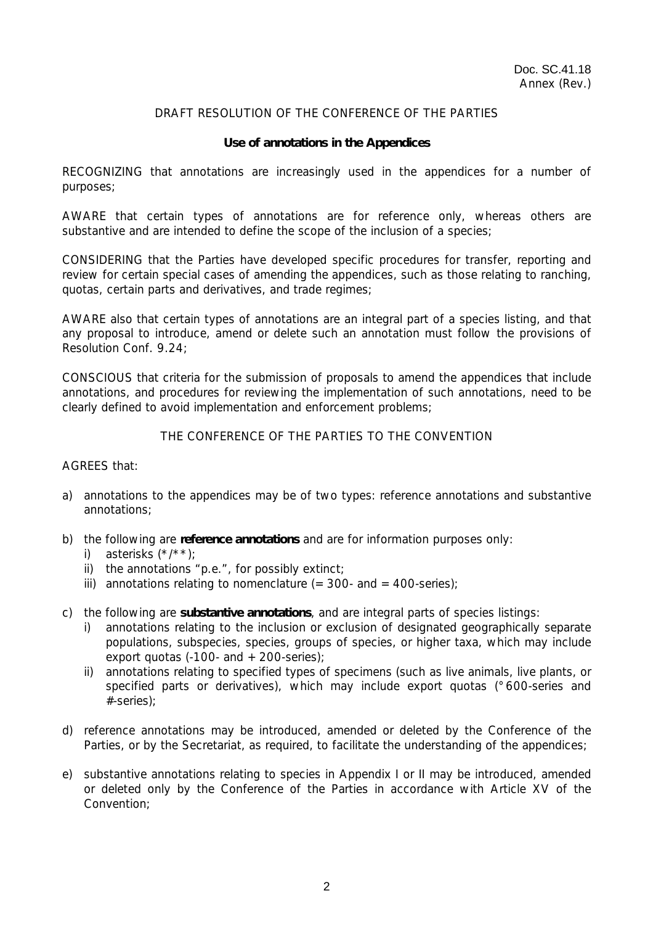# DRAFT RESOLUTION OF THE CONFERENCE OF THE PARTIES

### **Use of annotations in the Appendices**

RECOGNIZING that annotations are increasingly used in the appendices for a number of purposes;

AWARE that certain types of annotations are for reference only, whereas others are substantive and are intended to define the scope of the inclusion of a species;

CONSIDERING that the Parties have developed specific procedures for transfer, reporting and review for certain special cases of amending the appendices, such as those relating to ranching, quotas, certain parts and derivatives, and trade regimes;

AWARE also that certain types of annotations are an integral part of a species listing, and that any proposal to introduce, amend or delete such an annotation must follow the provisions of Resolution Conf. 9.24;

CONSCIOUS that criteria for the submission of proposals to amend the appendices that include annotations, and procedures for reviewing the implementation of such annotations, need to be clearly defined to avoid implementation and enforcement problems;

## THE CONFERENCE OF THE PARTIES TO THE CONVENTION

### AGREES that:

- a) annotations to the appendices may be of two types: reference annotations and substantive annotations;
- b) the following are **reference annotations** and are for information purposes only:
	- i) asterisks (\*/\*\*);
	- ii) the annotations "p.e.", for possibly extinct;
	- iii) annotations relating to nomenclature  $(=300 1200 400 1200)$ ;
- c) the following are **substantive annotations**, and are integral parts of species listings:
	- i) annotations relating to the inclusion or exclusion of designated geographically separate populations, subspecies, species, groups of species, or higher taxa, which may include export quotas (-100- and  $+200$ -series);
	- ii) annotations relating to specified types of specimens (such as live animals, live plants, or specified parts or derivatives), which may include export quotas (°600-series and #-series);
- d) reference annotations may be introduced, amended or deleted by the Conference of the Parties, or by the Secretariat, as required, to facilitate the understanding of the appendices;
- e) substantive annotations relating to species in Appendix I or II may be introduced, amended or deleted only by the Conference of the Parties in accordance with Article XV of the Convention;